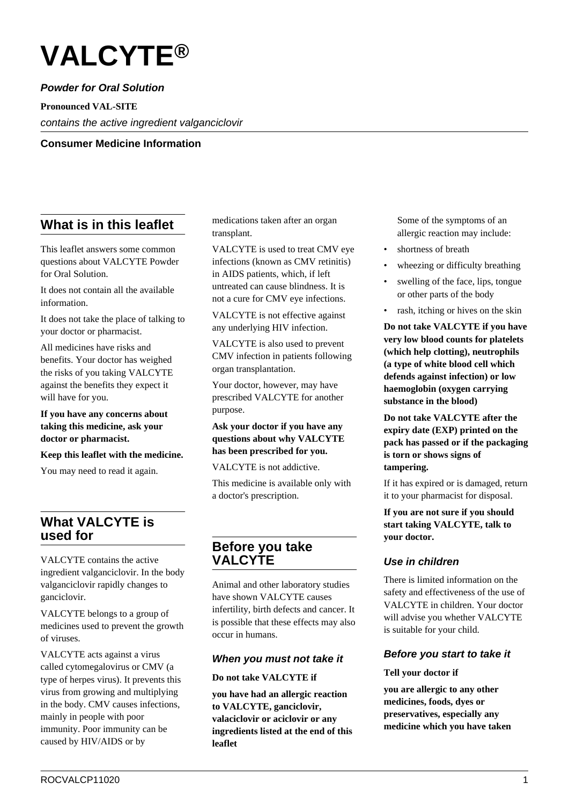

## **Powder for Oral Solution**

**Pronounced VAL-SITE** contains the active ingredient valganciclovir

#### **Consumer Medicine Information**

## **What is in this leaflet**

This leaflet answers some common questions about VALCYTE Powder for Oral Solution.

It does not contain all the available information.

It does not take the place of talking to your doctor or pharmacist.

All medicines have risks and benefits. Your doctor has weighed the risks of you taking VALCYTE against the benefits they expect it will have for you.

#### **If you have any concerns about taking this medicine, ask your doctor or pharmacist.**

#### **Keep this leaflet with the medicine.**

You may need to read it again.

## **What VALCYTE is used for**

VALCYTE contains the active ingredient valganciclovir. In the body valganciclovir rapidly changes to ganciclovir.

VALCYTE belongs to a group of medicines used to prevent the growth of viruses.

VALCYTE acts against a virus called cytomegalovirus or CMV (a type of herpes virus). It prevents this virus from growing and multiplying in the body. CMV causes infections, mainly in people with poor immunity. Poor immunity can be caused by HIV/AIDS or by

medications taken after an organ transplant.

VALCYTE is used to treat CMV eye infections (known as CMV retinitis) in AIDS patients, which, if left untreated can cause blindness. It is not a cure for CMV eye infections.

VALCYTE is not effective against any underlying HIV infection.

VALCYTE is also used to prevent CMV infection in patients following organ transplantation.

Your doctor, however, may have prescribed VALCYTE for another purpose.

#### **Ask your doctor if you have any questions about why VALCYTE has been prescribed for you.**

VALCYTE is not addictive.

This medicine is available only with a doctor's prescription.

## **Before you take VALCYTE**

Animal and other laboratory studies have shown VALCYTE causes infertility, birth defects and cancer. It is possible that these effects may also occur in humans.

#### **When you must not take it**

#### **Do not take VALCYTE if**

**you have had an allergic reaction to VALCYTE, ganciclovir, valaciclovir or aciclovir or any ingredients listed at the end of this leaflet**

 Some of the symptoms of an allergic reaction may include:

- shortness of breath
- wheezing or difficulty breathing
- swelling of the face, lips, tongue or other parts of the body
- rash, itching or hives on the skin

**Do not take VALCYTE if you have very low blood counts for platelets (which help clotting), neutrophils (a type of white blood cell which defends against infection) or low haemoglobin (oxygen carrying substance in the blood)**

**Do not take VALCYTE after the expiry date (EXP) printed on the pack has passed or if the packaging is torn or shows signs of tampering.**

If it has expired or is damaged, return it to your pharmacist for disposal.

**If you are not sure if you should start taking VALCYTE, talk to your doctor.**

#### **Use in children**

There is limited information on the safety and effectiveness of the use of VALCYTE in children. Your doctor will advise you whether VALCYTE is suitable for your child.

#### **Before you start to take it**

#### **Tell your doctor if**

**you are allergic to any other medicines, foods, dyes or preservatives, especially any medicine which you have taken**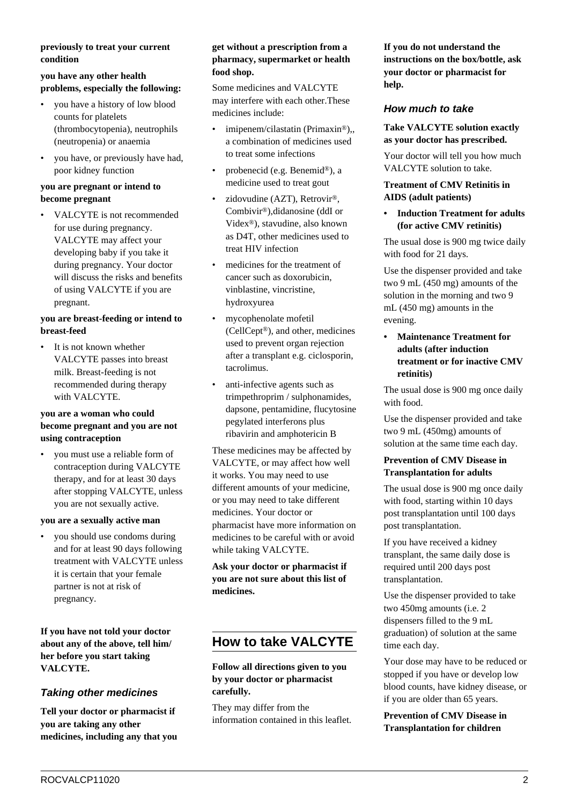#### **previously to treat your current condition**

#### **you have any other health problems, especially the following:**

- you have a history of low blood counts for platelets (thrombocytopenia), neutrophils (neutropenia) or anaemia
- you have, or previously have had, poor kidney function

#### **you are pregnant or intend to become pregnant**

• VALCYTE is not recommended for use during pregnancy. VALCYTE may affect your developing baby if you take it during pregnancy. Your doctor will discuss the risks and benefits of using VALCYTE if you are pregnant.

#### **you are breast-feeding or intend to breast-feed**

It is not known whether VALCYTE passes into breast milk. Breast-feeding is not recommended during therapy with VALCYTE.

#### **you are a woman who could become pregnant and you are not using contraception**

• you must use a reliable form of contraception during VALCYTE therapy, and for at least 30 days after stopping VALCYTE, unless you are not sexually active.

#### **you are a sexually active man**

• you should use condoms during and for at least 90 days following treatment with VALCYTE unless it is certain that your female partner is not at risk of pregnancy.

**If you have not told your doctor about any of the above, tell him/ her before you start taking VALCYTE.**

## **Taking other medicines**

**Tell your doctor or pharmacist if you are taking any other medicines, including any that you**

#### **get without a prescription from a pharmacy, supermarket or health food shop.**

Some medicines and VALCYTE may interfere with each other.These medicines include:

- imipenem/cilastatin (Primaxin®),, a combination of medicines used to treat some infections
- probenecid (e.g. Benemid®), a medicine used to treat gout
- zidovudine (AZT), Retrovir®, Combivir®),didanosine (ddI or Videx®), stavudine, also known as D4T, other medicines used to treat HIV infection
- medicines for the treatment of cancer such as doxorubicin, vinblastine, vincristine, hydroxyurea
- mycophenolate mofetil (CellCept®), and other, medicines used to prevent organ rejection after a transplant e.g. ciclosporin, tacrolimus.
- anti-infective agents such as trimpethroprim / sulphonamides, dapsone, pentamidine, flucytosine pegylated interferons plus ribavirin and amphotericin B

These medicines may be affected by VALCYTE, or may affect how well it works. You may need to use different amounts of your medicine, or you may need to take different medicines. Your doctor or pharmacist have more information on medicines to be careful with or avoid while taking VALCYTE.

**Ask your doctor or pharmacist if you are not sure about this list of medicines.**

# **How to take VALCYTE**

#### **Follow all directions given to you by your doctor or pharmacist carefully.**

They may differ from the information contained in this leaflet. **If you do not understand the instructions on the box/bottle, ask your doctor or pharmacist for help.**

#### **How much to take**

**Take VALCYTE solution exactly as your doctor has prescribed.**

Your doctor will tell you how much VALCYTE solution to take.

#### **Treatment of CMV Retinitis in AIDS (adult patients)**

**• Induction Treatment for adults (for active CMV retinitis)**

The usual dose is 900 mg twice daily with food for 21 days.

Use the dispenser provided and take two 9 mL (450 mg) amounts of the solution in the morning and two 9 mL (450 mg) amounts in the evening.

**• Maintenance Treatment for adults (after induction treatment or for inactive CMV retinitis)**

The usual dose is 900 mg once daily with food.

Use the dispenser provided and take two 9 mL (450mg) amounts of solution at the same time each day.

#### **Prevention of CMV Disease in Transplantation for adults**

The usual dose is 900 mg once daily with food, starting within 10 days post transplantation until 100 days post transplantation.

If you have received a kidney transplant, the same daily dose is required until 200 days post transplantation.

Use the dispenser provided to take two 450mg amounts (i.e. 2 dispensers filled to the 9 mL graduation) of solution at the same time each day.

Your dose may have to be reduced or stopped if you have or develop low blood counts, have kidney disease, or if you are older than 65 years.

**Prevention of CMV Disease in Transplantation for children**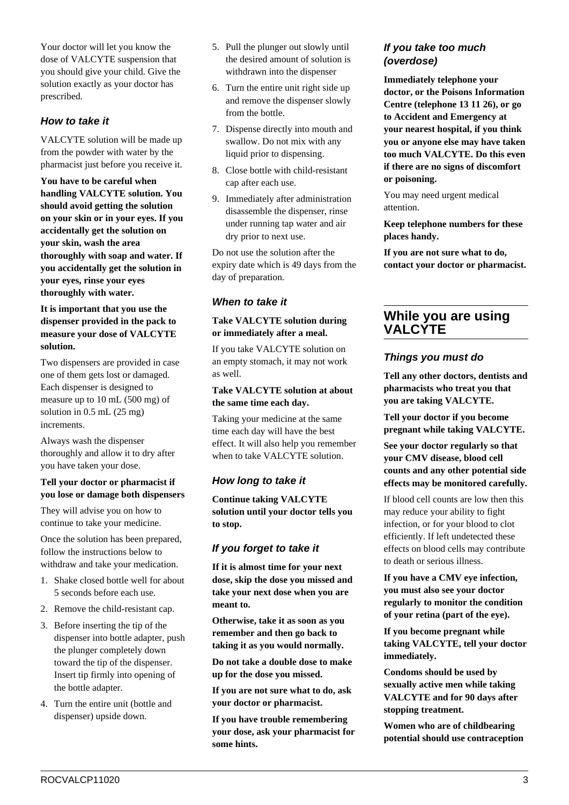Your doctor will let you know the dose of VALCYTE suspension that you should give your child. Give the solution exactly as your doctor has prescribed.

## **How to take it**

VALCYTE solution will be made up from the powder with water by the pharmacist just before you receive it.

**You have to be careful when handling VALCYTE solution. You should avoid getting the solution on your skin or in your eyes. If you accidentally get the solution on your skin, wash the area thoroughly with soap and water. If you accidentally get the solution in your eyes, rinse your eyes thoroughly with water.**

#### **It is important that you use the dispenser provided in the pack to measure your dose of VALCYTE solution.**

Two dispensers are provided in case one of them gets lost or damaged. Each dispenser is designed to measure up to 10 mL (500 mg) of solution in 0.5 mL (25 mg) increments.

Always wash the dispenser thoroughly and allow it to dry after you have taken your dose.

#### **Tell your doctor or pharmacist if you lose or damage both dispensers**

They will advise you on how to continue to take your medicine.

Once the solution has been prepared, follow the instructions below to withdraw and take your medication.

- 1. Shake closed bottle well for about 5 seconds before each use.
- 2. Remove the child-resistant cap.
- 3. Before inserting the tip of the dispenser into bottle adapter, push the plunger completely down toward the tip of the dispenser. Insert tip firmly into opening of the bottle adapter.
- 4. Turn the entire unit (bottle and dispenser) upside down.
- 5. Pull the plunger out slowly until the desired amount of solution is withdrawn into the dispenser
- 6. Turn the entire unit right side up and remove the dispenser slowly from the bottle.
- 7. Dispense directly into mouth and swallow. Do not mix with any liquid prior to dispensing.
- 8. Close bottle with child-resistant cap after each use.
- 9. Immediately after administration disassemble the dispenser, rinse under running tap water and air dry prior to next use.

Do not use the solution after the expiry date which is 49 days from the day of preparation.

#### **When to take it**

#### **Take VALCYTE solution during or immediately after a meal.**

If you take VALCYTE solution on an empty stomach, it may not work as well.

#### **Take VALCYTE solution at about the same time each day.**

Taking your medicine at the same time each day will have the best effect. It will also help you remember when to take VALCYTE solution.

## **How long to take it**

**Continue taking VALCYTE solution until your doctor tells you to stop.**

## **If you forget to take it**

**If it is almost time for your next dose, skip the dose you missed and take your next dose when you are meant to.**

**Otherwise, take it as soon as you remember and then go back to taking it as you would normally.**

**Do not take a double dose to make up for the dose you missed.**

**If you are not sure what to do, ask your doctor or pharmacist.**

**If you have trouble remembering your dose, ask your pharmacist for some hints.**

## **If you take too much (overdose)**

**Immediately telephone your doctor, or the Poisons Information Centre (telephone 13 11 26), or go to Accident and Emergency at your nearest hospital, if you think you or anyone else may have taken too much VALCYTE. Do this even if there are no signs of discomfort or poisoning.**

You may need urgent medical attention.

**Keep telephone numbers for these places handy.**

**If you are not sure what to do, contact your doctor or pharmacist.**

## **While you are using VALCYTE**

### **Things you must do**

**Tell any other doctors, dentists and pharmacists who treat you that you are taking VALCYTE.**

**Tell your doctor if you become pregnant while taking VALCYTE.**

**See your doctor regularly so that your CMV disease, blood cell counts and any other potential side effects may be monitored carefully.**

If blood cell counts are low then this may reduce your ability to fight infection, or for your blood to clot efficiently. If left undetected these effects on blood cells may contribute to death or serious illness.

**If you have a CMV eye infection, you must also see your doctor regularly to monitor the condition of your retina (part of the eye).**

**If you become pregnant while taking VALCYTE, tell your doctor immediately.**

**Condoms should be used by sexually active men while taking VALCYTE and for 90 days after stopping treatment.**

**Women who are of childbearing potential should use contraception**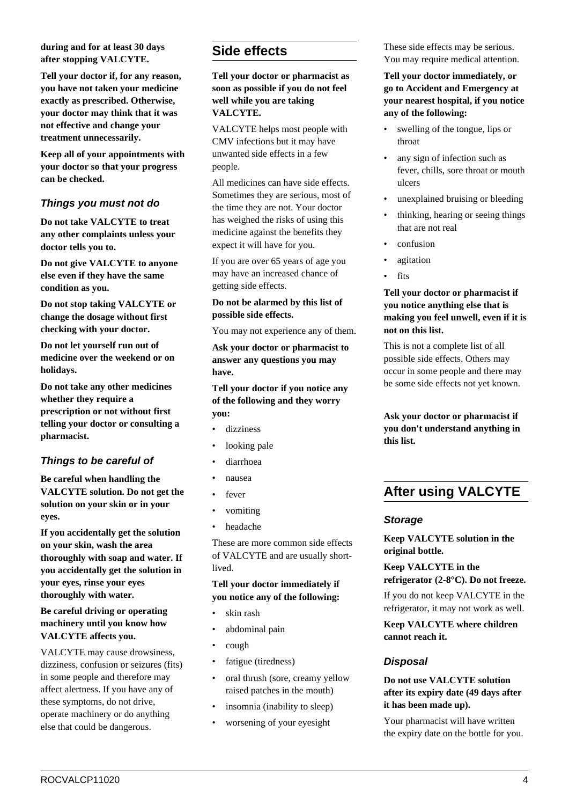**during and for at least 30 days after stopping VALCYTE.**

**Tell your doctor if, for any reason, you have not taken your medicine exactly as prescribed. Otherwise, your doctor may think that it was not effective and change your treatment unnecessarily.**

**Keep all of your appointments with your doctor so that your progress can be checked.**

## **Things you must not do**

**Do not take VALCYTE to treat any other complaints unless your doctor tells you to.**

**Do not give VALCYTE to anyone else even if they have the same condition as you.**

**Do not stop taking VALCYTE or change the dosage without first checking with your doctor.**

**Do not let yourself run out of medicine over the weekend or on holidays.**

**Do not take any other medicines whether they require a prescription or not without first telling your doctor or consulting a pharmacist.**

## **Things to be careful of**

**Be careful when handling the VALCYTE solution. Do not get the solution on your skin or in your eyes.**

**If you accidentally get the solution on your skin, wash the area thoroughly with soap and water. If you accidentally get the solution in your eyes, rinse your eyes thoroughly with water.**

#### **Be careful driving or operating machinery until you know how VALCYTE affects you.**

VALCYTE may cause drowsiness, dizziness, confusion or seizures (fits) in some people and therefore may affect alertness. If you have any of these symptoms, do not drive, operate machinery or do anything else that could be dangerous.

## **Side effects**

**Tell your doctor or pharmacist as soon as possible if you do not feel well while you are taking VALCYTE.**

VALCYTE helps most people with CMV infections but it may have unwanted side effects in a few people.

All medicines can have side effects. Sometimes they are serious, most of the time they are not. Your doctor has weighed the risks of using this medicine against the benefits they expect it will have for you.

If you are over 65 years of age you may have an increased chance of getting side effects.

#### **Do not be alarmed by this list of possible side effects.**

You may not experience any of them.

**Ask your doctor or pharmacist to answer any questions you may have.**

**Tell your doctor if you notice any of the following and they worry you:**

- dizziness
- looking pale
- diarrhoea
- nausea
- fever
- vomiting
- headache

These are more common side effects of VALCYTE and are usually shortlived.

#### **Tell your doctor immediately if you notice any of the following:**

- skin rash
- abdominal pain
- cough
- fatigue (tiredness)
- oral thrush (sore, creamy yellow raised patches in the mouth)
- insomnia (inability to sleep)
- worsening of your eyesight

These side effects may be serious. You may require medical attention.

#### **Tell your doctor immediately, or go to Accident and Emergency at your nearest hospital, if you notice any of the following:**

- swelling of the tongue, lips or throat
- any sign of infection such as fever, chills, sore throat or mouth ulcers
- unexplained bruising or bleeding
- thinking, hearing or seeing things that are not real
- confusion
- agitation
- fits

#### **Tell your doctor or pharmacist if you notice anything else that is making you feel unwell, even if it is not on this list.**

This is not a complete list of all possible side effects. Others may occur in some people and there may be some side effects not yet known.

**Ask your doctor or pharmacist if you don't understand anything in this list.**

# **After using VALCYTE**

#### **Storage**

**Keep VALCYTE solution in the original bottle.**

#### **Keep VALCYTE in the refrigerator (2-8°C). Do not freeze.**

If you do not keep VALCYTE in the refrigerator, it may not work as well.

**Keep VALCYTE where children cannot reach it.**

## **Disposal**

**Do not use VALCYTE solution after its expiry date (49 days after it has been made up).**

Your pharmacist will have written the expiry date on the bottle for you.